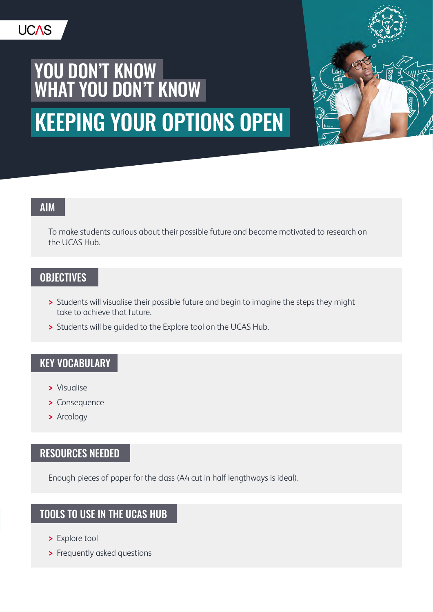

# KEEPING YOUR OPTIONS OPEN YOU DON'T KNOW WHAT YOU DON'T KNOW



### AIM

To make students curious about their possible future and become motivated to research on the UCAS Hub.

## **OBJECTIVES**

- **>** Students will visualise their possible future and begin to imagine the steps they might take to achieve that future.
- **>** Students will be guided to the Explore tool on the UCAS Hub.

## KEY VOCABULARY

- **>** Visualise
- **>** Consequence
- **>** Arcology

## RESOURCES NEEDED

Enough pieces of paper for the class (A4 cut in half lengthways is ideal).

## TOOLS TO USE IN THE UCAS HUB

- **>** Explore tool
- **>** Frequently asked questions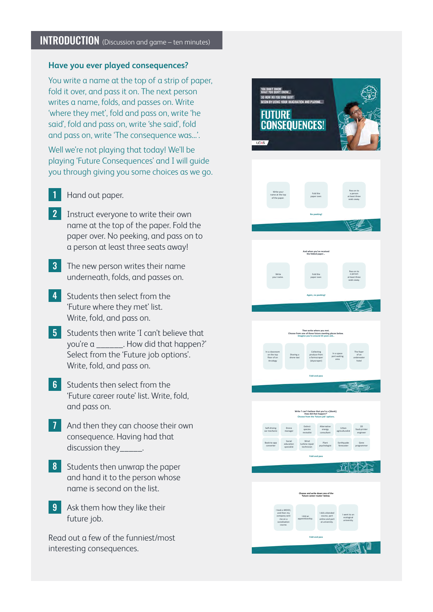## INTRODUCTION (Discussion and game – ten minutes)

#### **Have you ever played consequences?**

You write a name at the top of a strip of paper, fold it over, and pass it on. The next person writes a name, folds, and passes on. Write 'where they met', fold and pass on, write 'he said', fold and pass on, write 'she said', fold and pass on, write 'The consequence was…'.

Well we're not playing that today! We'll be playing 'Future Consequences' and I will guide you through giving you some choices as we go.

- Hand out paper.
- 2 Instruct everyone to write their own name at the top of the paper. Fold the paper over. No peeking, and pass on to a person at least three seats away!
- **3** The new person writes their name underneath, folds, and passes on.
- 4 Students then select from the 'Future where they met' list. Write, fold, and pass on.
- **5** Students then write 'I can't believe that you're a . How did that happen?' Select from the 'Future job options'. Write, fold, and pass on.
- **6** Students then select from the 'Future career route' list. Write, fold, and pass on.
- 7 And then they can choose their own consequence. Having had that discussion they\_\_\_\_\_\_.
- 8 Students then unwrap the paper and hand it to the person whose name is second on the list.
- **9** Ask them how they like their future job.

Read out a few of the funniest/most interesting consequences.